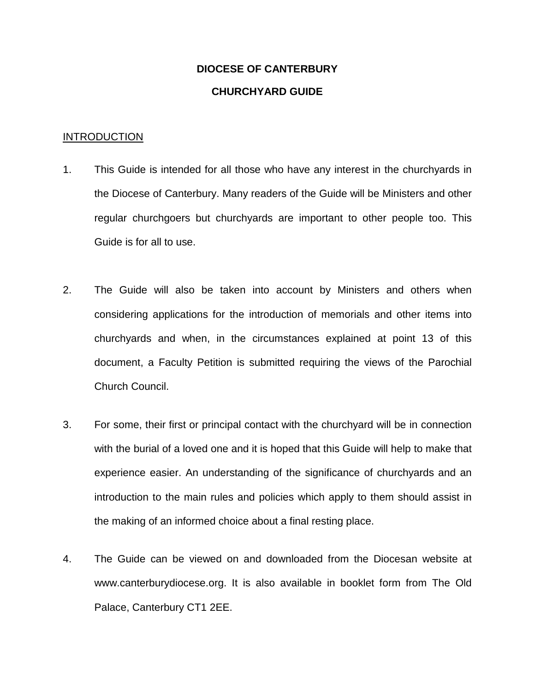# **DIOCESE OF CANTERBURY CHURCHYARD GUIDE**

#### **INTRODUCTION**

- 1. This Guide is intended for all those who have any interest in the churchyards in the Diocese of Canterbury. Many readers of the Guide will be Ministers and other regular churchgoers but churchyards are important to other people too. This Guide is for all to use.
- 2. The Guide will also be taken into account by Ministers and others when considering applications for the introduction of memorials and other items into churchyards and when, in the circumstances explained at point 13 of this document, a Faculty Petition is submitted requiring the views of the Parochial Church Council.
- 3. For some, their first or principal contact with the churchyard will be in connection with the burial of a loved one and it is hoped that this Guide will help to make that experience easier. An understanding of the significance of churchyards and an introduction to the main rules and policies which apply to them should assist in the making of an informed choice about a final resting place.
- 4. The Guide can be viewed on and downloaded from the Diocesan website at www.canterburydiocese.org. It is also available in booklet form from The Old Palace, Canterbury CT1 2EE.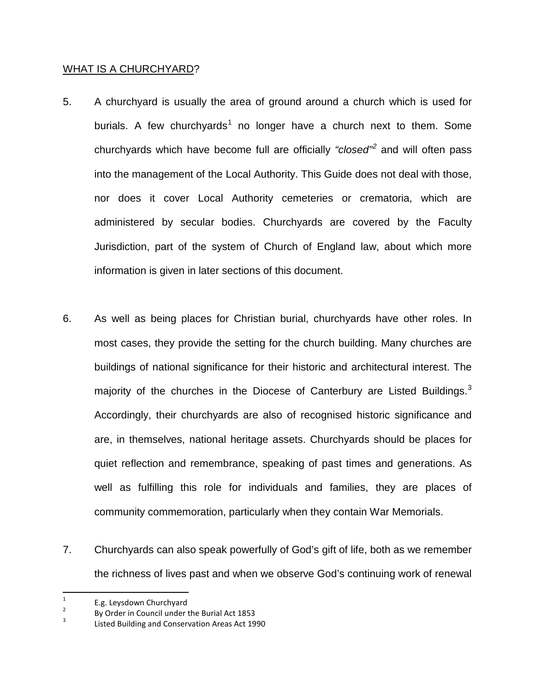#### WHAT IS A CHURCHYARD?

- 5. A churchyard is usually the area of ground around a church which is used for burials. A few churchyards<sup>[1](#page-1-0)</sup> no longer have a church next to them. Some churchyards which have become full are officially *"closed"[2](#page-1-1)* and will often pass into the management of the Local Authority. This Guide does not deal with those, nor does it cover Local Authority cemeteries or crematoria, which are administered by secular bodies. Churchyards are covered by the Faculty Jurisdiction, part of the system of Church of England law, about which more information is given in later sections of this document.
- 6. As well as being places for Christian burial, churchyards have other roles. In most cases, they provide the setting for the church building. Many churches are buildings of national significance for their historic and architectural interest. The majority of the churches in the Diocese of Canterbury are Listed Buildings.<sup>[3](#page-1-2)</sup> Accordingly, their churchyards are also of recognised historic significance and are, in themselves, national heritage assets. Churchyards should be places for quiet reflection and remembrance, speaking of past times and generations. As well as fulfilling this role for individuals and families, they are places of community commemoration, particularly when they contain War Memorials.
- 7. Churchyards can also speak powerfully of God's gift of life, both as we remember the richness of lives past and when we observe God's continuing work of renewal

<span id="page-1-0"></span><sup>&</sup>lt;sup>1</sup> E.g. Leysdown Churchyard<br><sup>2</sup> By Order in Council under the Burial Act 1853<br><sup>3</sup> Listed Building and Conservation Areas Act 1990

<span id="page-1-2"></span><span id="page-1-1"></span>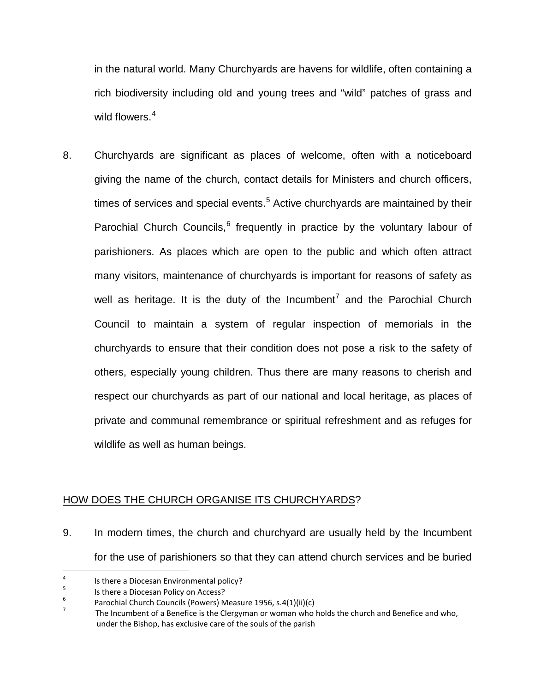in the natural world. Many Churchyards are havens for wildlife, often containing a rich biodiversity including old and young trees and "wild" patches of grass and wild flowers.<sup>[4](#page-2-0)</sup>

8. Churchyards are significant as places of welcome, often with a noticeboard giving the name of the church, contact details for Ministers and church officers, times of services and special events.<sup>[5](#page-2-1)</sup> Active churchyards are maintained by their Parochial Church Councils, $6$  frequently in practice by the voluntary labour of parishioners. As places which are open to the public and which often attract many visitors, maintenance of churchyards is important for reasons of safety as well as heritage. It is the duty of the Incumbent<sup>[7](#page-2-3)</sup> and the Parochial Church Council to maintain a system of regular inspection of memorials in the churchyards to ensure that their condition does not pose a risk to the safety of others, especially young children. Thus there are many reasons to cherish and respect our churchyards as part of our national and local heritage, as places of private and communal remembrance or spiritual refreshment and as refuges for wildlife as well as human beings.

## HOW DOES THE CHURCH ORGANISE ITS CHURCHYARDS?

9. In modern times, the church and churchyard are usually held by the Incumbent for the use of parishioners so that they can attend church services and be buried

<span id="page-2-1"></span>

<span id="page-2-0"></span><sup>1</sup> Is there a Diocesan Environmental policy?<br>
<sup>5</sup> Is there a Diocesan Policy on Access?<br>
<sup>6</sup> Parochial Church Councils (Powers) Measure 1956, s.4(1)(ii)(c)

<span id="page-2-3"></span><span id="page-2-2"></span>The Incumbent of a Benefice is the Clergyman or woman who holds the church and Benefice and who, under the Bishop, has exclusive care of the souls of the parish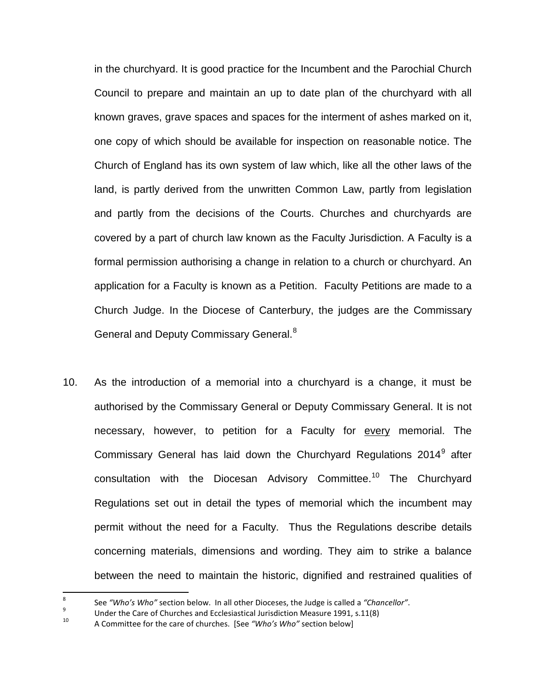in the churchyard. It is good practice for the Incumbent and the Parochial Church Council to prepare and maintain an up to date plan of the churchyard with all known graves, grave spaces and spaces for the interment of ashes marked on it, one copy of which should be available for inspection on reasonable notice. The Church of England has its own system of law which, like all the other laws of the land, is partly derived from the unwritten Common Law, partly from legislation and partly from the decisions of the Courts. Churches and churchyards are covered by a part of church law known as the Faculty Jurisdiction. A Faculty is a formal permission authorising a change in relation to a church or churchyard. An application for a Faculty is known as a Petition. Faculty Petitions are made to a Church Judge. In the Diocese of Canterbury, the judges are the Commissary General and Deputy Commissary General.<sup>[8](#page-3-0)</sup>

10. As the introduction of a memorial into a churchyard is a change, it must be authorised by the Commissary General or Deputy Commissary General. It is not necessary, however, to petition for a Faculty for every memorial. The Commissary General has laid down the Churchyard Regulations 2014<sup>[9](#page-3-1)</sup> after consultation with the Diocesan Advisory Committee.<sup>[10](#page-3-2)</sup> The Churchyard Regulations set out in detail the types of memorial which the incumbent may permit without the need for a Faculty. Thus the Regulations describe details concerning materials, dimensions and wording. They aim to strike a balance between the need to maintain the historic, dignified and restrained qualities of

<span id="page-3-0"></span><sup>&</sup>lt;sup>8</sup> See "Who's Who" section below. In all other Dioceses, the Judge is called a "Chancellor".<br><sup>9</sup> Under the Care of Churches and Ecclesiastical Jurisdiction Measure 1991, s.11(8)<br><sup>10</sup> A Committee for the care of churches.

<span id="page-3-2"></span><span id="page-3-1"></span>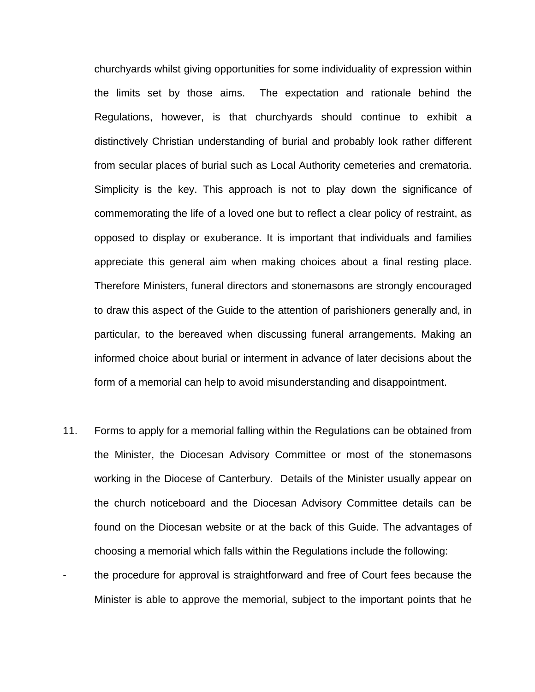churchyards whilst giving opportunities for some individuality of expression within the limits set by those aims. The expectation and rationale behind the Regulations, however, is that churchyards should continue to exhibit a distinctively Christian understanding of burial and probably look rather different from secular places of burial such as Local Authority cemeteries and crematoria. Simplicity is the key. This approach is not to play down the significance of commemorating the life of a loved one but to reflect a clear policy of restraint, as opposed to display or exuberance. It is important that individuals and families appreciate this general aim when making choices about a final resting place. Therefore Ministers, funeral directors and stonemasons are strongly encouraged to draw this aspect of the Guide to the attention of parishioners generally and, in particular, to the bereaved when discussing funeral arrangements. Making an informed choice about burial or interment in advance of later decisions about the form of a memorial can help to avoid misunderstanding and disappointment.

- 11. Forms to apply for a memorial falling within the Regulations can be obtained from the Minister, the Diocesan Advisory Committee or most of the stonemasons working in the Diocese of Canterbury. Details of the Minister usually appear on the church noticeboard and the Diocesan Advisory Committee details can be found on the Diocesan website or at the back of this Guide. The advantages of choosing a memorial which falls within the Regulations include the following:
- the procedure for approval is straightforward and free of Court fees because the Minister is able to approve the memorial, subject to the important points that he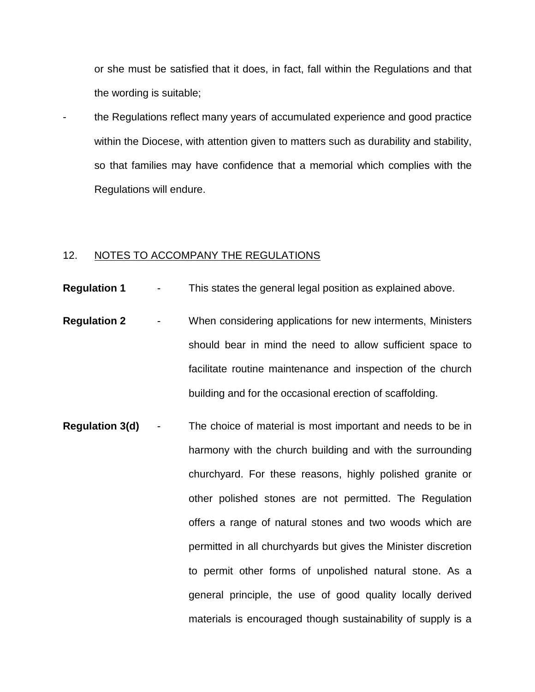or she must be satisfied that it does, in fact, fall within the Regulations and that the wording is suitable;

- the Regulations reflect many years of accumulated experience and good practice within the Diocese, with attention given to matters such as durability and stability, so that families may have confidence that a memorial which complies with the Regulations will endure.

#### 12. NOTES TO ACCOMPANY THE REGULATIONS

- **Regulation 1** This states the general legal position as explained above.
- **Regulation 2** When considering applications for new interments, Ministers should bear in mind the need to allow sufficient space to facilitate routine maintenance and inspection of the church building and for the occasional erection of scaffolding.
- **Regulation 3(d)** The choice of material is most important and needs to be in harmony with the church building and with the surrounding churchyard. For these reasons, highly polished granite or other polished stones are not permitted. The Regulation offers a range of natural stones and two woods which are permitted in all churchyards but gives the Minister discretion to permit other forms of unpolished natural stone. As a general principle, the use of good quality locally derived materials is encouraged though sustainability of supply is a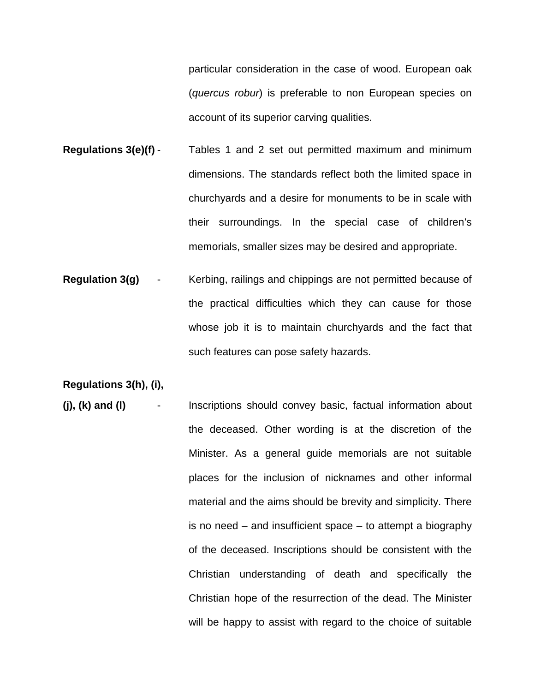particular consideration in the case of wood. European oak (*quercus robur*) is preferable to non European species on account of its superior carving qualities.

- **Regulations 3(e)(f)** Tables 1 and 2 set out permitted maximum and minimum dimensions. The standards reflect both the limited space in churchyards and a desire for monuments to be in scale with their surroundings. In the special case of children's memorials, smaller sizes may be desired and appropriate.
- **Regulation 3(g)** Kerbing, railings and chippings are not permitted because of the practical difficulties which they can cause for those whose job it is to maintain churchyards and the fact that such features can pose safety hazards.

**Regulations 3(h), (i),** 

**(j), (k) and (l)** - Inscriptions should convey basic, factual information about the deceased. Other wording is at the discretion of the Minister. As a general guide memorials are not suitable places for the inclusion of nicknames and other informal material and the aims should be brevity and simplicity. There is no need – and insufficient space – to attempt a biography of the deceased. Inscriptions should be consistent with the Christian understanding of death and specifically the Christian hope of the resurrection of the dead. The Minister will be happy to assist with regard to the choice of suitable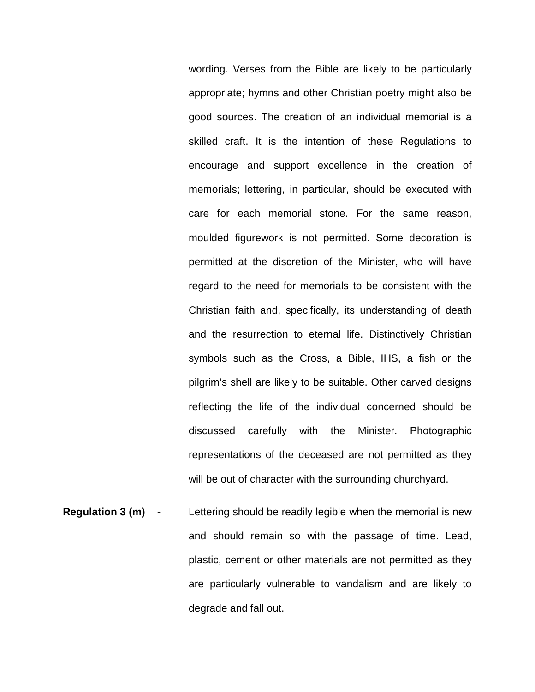wording. Verses from the Bible are likely to be particularly appropriate; hymns and other Christian poetry might also be good sources. The creation of an individual memorial is a skilled craft. It is the intention of these Regulations to encourage and support excellence in the creation of memorials; lettering, in particular, should be executed with care for each memorial stone. For the same reason, moulded figurework is not permitted. Some decoration is permitted at the discretion of the Minister, who will have regard to the need for memorials to be consistent with the Christian faith and, specifically, its understanding of death and the resurrection to eternal life. Distinctively Christian symbols such as the Cross, a Bible, IHS, a fish or the pilgrim's shell are likely to be suitable. Other carved designs reflecting the life of the individual concerned should be discussed carefully with the Minister. Photographic representations of the deceased are not permitted as they will be out of character with the surrounding churchyard.

**Regulation 3 (m)** - Lettering should be readily legible when the memorial is new and should remain so with the passage of time. Lead, plastic, cement or other materials are not permitted as they are particularly vulnerable to vandalism and are likely to degrade and fall out.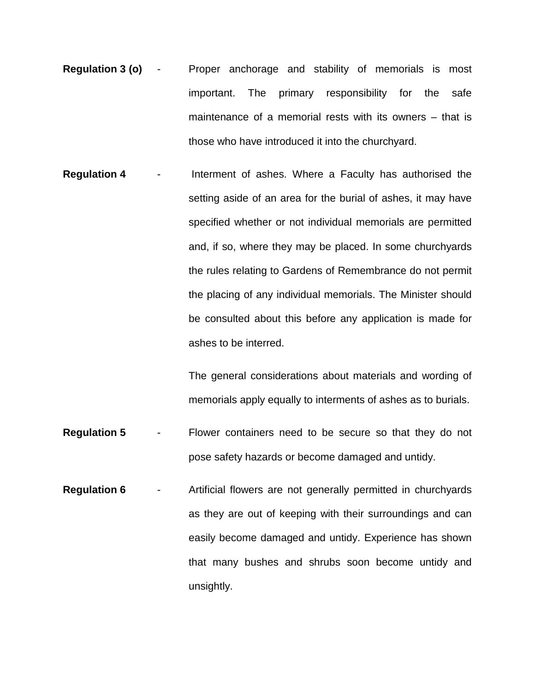- **Regulation 3 (o)** Proper anchorage and stability of memorials is most important. The primary responsibility for the safe maintenance of a memorial rests with its owners – that is those who have introduced it into the churchyard.
- **Regulation 4**  Interment of ashes. Where a Faculty has authorised the setting aside of an area for the burial of ashes, it may have specified whether or not individual memorials are permitted and, if so, where they may be placed. In some churchyards the rules relating to Gardens of Remembrance do not permit the placing of any individual memorials. The Minister should be consulted about this before any application is made for ashes to be interred.

The general considerations about materials and wording of memorials apply equally to interments of ashes as to burials.

- **Regulation 5** Flower containers need to be secure so that they do not pose safety hazards or become damaged and untidy.
- **Regulation 6** Artificial flowers are not generally permitted in churchyards as they are out of keeping with their surroundings and can easily become damaged and untidy. Experience has shown that many bushes and shrubs soon become untidy and unsightly.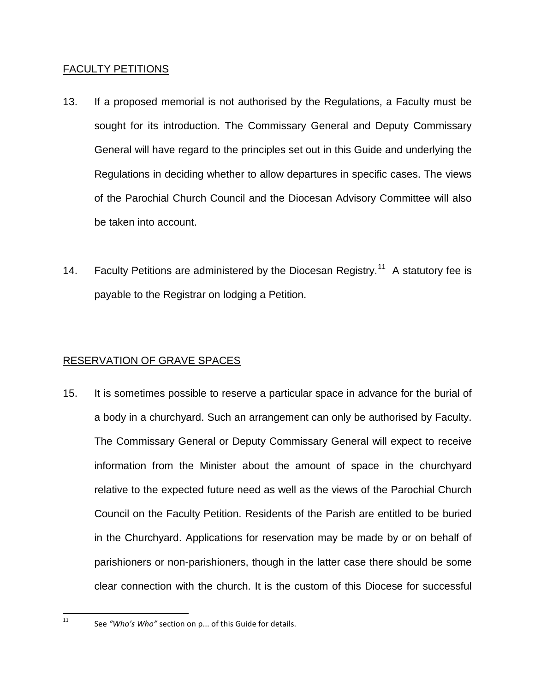### FACULTY PETITIONS

- 13. If a proposed memorial is not authorised by the Regulations, a Faculty must be sought for its introduction. The Commissary General and Deputy Commissary General will have regard to the principles set out in this Guide and underlying the Regulations in deciding whether to allow departures in specific cases. The views of the Parochial Church Council and the Diocesan Advisory Committee will also be taken into account.
- 14. Faculty Petitions are administered by the Diocesan Registry.<sup>[11](#page-9-0)</sup> A statutory fee is payable to the Registrar on lodging a Petition.

## RESERVATION OF GRAVE SPACES

15. It is sometimes possible to reserve a particular space in advance for the burial of a body in a churchyard. Such an arrangement can only be authorised by Faculty. The Commissary General or Deputy Commissary General will expect to receive information from the Minister about the amount of space in the churchyard relative to the expected future need as well as the views of the Parochial Church Council on the Faculty Petition. Residents of the Parish are entitled to be buried in the Churchyard. Applications for reservation may be made by or on behalf of parishioners or non-parishioners, though in the latter case there should be some clear connection with the church. It is the custom of this Diocese for successful

<span id="page-9-0"></span> <sup>11</sup> See *"Who's Who"* section on p... of this Guide for details.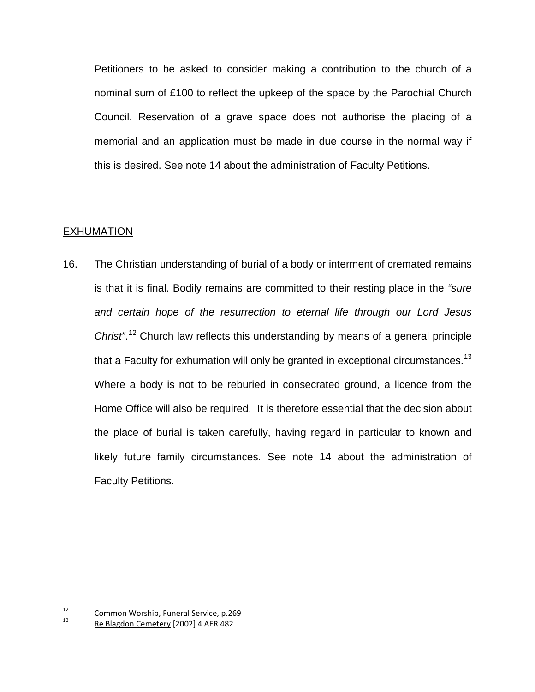Petitioners to be asked to consider making a contribution to the church of a nominal sum of £100 to reflect the upkeep of the space by the Parochial Church Council. Reservation of a grave space does not authorise the placing of a memorial and an application must be made in due course in the normal way if this is desired. See note 14 about the administration of Faculty Petitions.

#### EXHUMATION

16. The Christian understanding of burial of a body or interment of cremated remains is that it is final. Bodily remains are committed to their resting place in the *"sure and certain hope of the resurrection to eternal life through our Lord Jesus Christ"*. [12](#page-10-0) Church law reflects this understanding by means of a general principle that a Faculty for exhumation will only be granted in exceptional circumstances.<sup>[13](#page-10-1)</sup> Where a body is not to be reburied in consecrated ground, a licence from the Home Office will also be required. It is therefore essential that the decision about the place of burial is taken carefully, having regard in particular to known and likely future family circumstances. See note 14 about the administration of Faculty Petitions.

<span id="page-10-1"></span><span id="page-10-0"></span><sup>&</sup>lt;sup>12</sup> Common Worship, Funeral Service, p.269<br><sup>13</sup> Re Blagdon Cemetery [2002] 4 AER 482